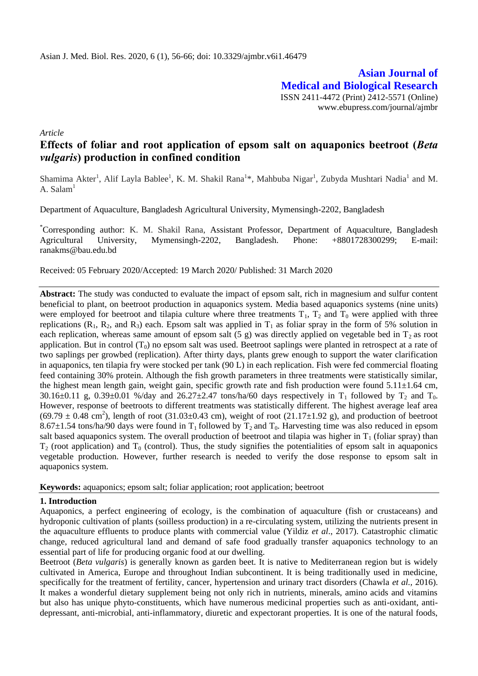**Asian Journal of Medical and Biological Research** ISSN 2411-4472 (Print) 2412-5571 (Online) www.ebupress.com/journal/ajmbr

*Article*

# **Effects of foliar and root application of epsom salt on aquaponics beetroot (***Beta vulgaris***) production in confined condition**

Shamima Akter<sup>1</sup>, Alif Layla Bablee<sup>1</sup>, K. M. Shakil Rana<sup>1\*</sup>, Mahbuba Nigar<sup>1</sup>, Zubyda Mushtari Nadia<sup>1</sup> and M. A.  $Salam<sup>1</sup>$ 

Department of Aquaculture, Bangladesh Agricultural University, Mymensingh-2202, Bangladesh

\*Corresponding author: K. M. Shakil Rana, Assistant Professor, Department of Aquaculture, Bangladesh Agricultural University, Mymensingh-2202, Bangladesh. Phone: +8801728300299; E-mail: [ranakms@bau.edu.bd](mailto:ranakms@bau.edu.bd)

Received: 05 February 2020/Accepted: 19 March 2020/ Published: 31 March 2020

**Abstract:** The study was conducted to evaluate the impact of epsom salt, rich in magnesium and sulfur content beneficial to plant, on beetroot production in aquaponics system. Media based aquaponics systems (nine units) were employed for beetroot and tilapia culture where three treatments  $T_1$ ,  $T_2$  and  $T_0$  were applied with three replications ( $R_1$ ,  $R_2$ , and  $R_3$ ) each. Epsom salt was applied in  $T_1$  as foliar spray in the form of 5% solution in each replication, whereas same amount of epsom salt (5 g) was directly applied on vegetable bed in  $T_2$  as root application. But in control  $(T_0)$  no epsom salt was used. Beetroot saplings were planted in retrospect at a rate of two saplings per growbed (replication). After thirty days, plants grew enough to support the water clarification in aquaponics, ten tilapia fry were stocked per tank (90 L) in each replication. Fish were fed commercial floating feed containing 30% protein. Although the fish growth parameters in three treatments were statistically similar, the highest mean length gain, weight gain, specific growth rate and fish production were found  $5.11\pm1.64$  cm, 30.16 $\pm$ 0.11 g, 0.39 $\pm$ 0.01 %/day and 26.27 $\pm$ 2.47 tons/ha/60 days respectively in T<sub>1</sub> followed by T<sub>2</sub> and T<sub>0</sub>. However, response of beetroots to different treatments was statistically different. The highest average leaf area  $(69.79 \pm 0.48 \text{ cm}^2)$ , length of root  $(31.03 \pm 0.43 \text{ cm})$ , weight of root  $(21.17 \pm 1.92 \text{ g})$ , and production of beetroot 8.67 $\pm$ 1.54 tons/ha/90 days were found in T<sub>1</sub> followed by T<sub>2</sub> and T<sub>0</sub>. Harvesting time was also reduced in epsom salt based aquaponics system. The overall production of beetroot and tilapia was higher in  $T_1$  (foliar spray) than  $T_2$  (root application) and  $T_0$  (control). Thus, the study signifies the potentialities of epsom salt in aquaponics vegetable production. However, further research is needed to verify the dose response to epsom salt in aquaponics system.

**Keywords:** aquaponics; epsom salt; foliar application; root application; beetroot

### **1. Introduction**

Aquaponics, a perfect engineering of ecology, is the combination of aquaculture (fish or crustaceans) and hydroponic cultivation of plants (soilless production) in a re-circulating system, utilizing the nutrients present in the aquaculture effluents to produce plants with commercial value (Yildiz *et al*., 2017). Catastrophic climatic change, reduced agricultural land and demand of safe food gradually transfer aquaponics technology to an essential part of life for producing organic food at our dwelling.

Beetroot (*Beta vulgaris*) is generally known as garden beet. It is native to Mediterranean region but is widely cultivated in America, Europe and throughout Indian subcontinent. It is being traditionally used in medicine, specifically for the treatment of fertility, cancer, hypertension and urinary tract disorders (Chawla *et al.,* 2016). It makes a wonderful dietary supplement being not only rich in nutrients, minerals, amino acids and vitamins but also has unique phyto-constituents, which have numerous medicinal properties such as anti-oxidant, antidepressant, anti-microbial, anti-inflammatory, diuretic and expectorant properties. It is one of the natural foods,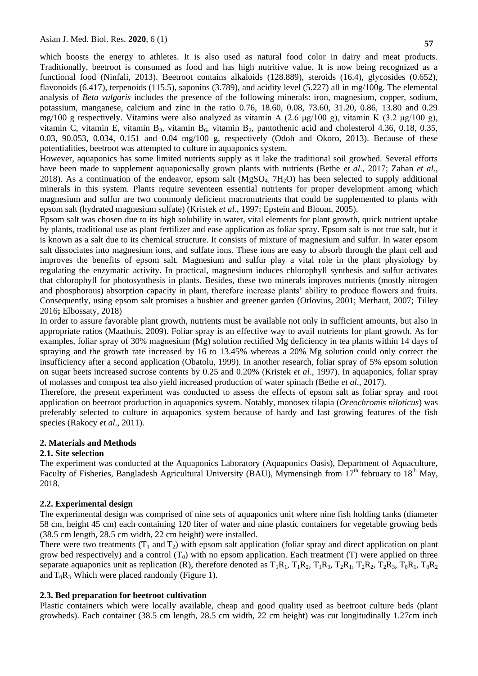which boosts the energy to athletes. It is also used as natural food color in dairy and meat products. Traditionally, beetroot is consumed as food and has high nutritive value. It is now being recognized as a functional food (Ninfali, 2013). Beetroot contains alkaloids (128.889), steroids (16.4), glycosides (0.652), flavonoids (6.417), terpenoids (115.5), saponins (3.789), and acidity level (5.227) all in mg/100g. The elemental analysis of *Beta vulgaris* includes the presence of the following minerals: iron, magnesium, copper, sodium, potassium, manganese, calcium and zinc in the ratio 0.76, 18.60, 0.08, 73.60, 31.20, 0.86, 13.80 and 0.29 mg/100 g respectively. Vitamins were also analyzed as vitamin A (2.6 μg/100 g), vitamin K (3.2 μg/100 g), vitamin C, vitamin E, vitamin B<sub>3</sub>, vitamin B<sub>6</sub>, vitamin B<sub>2</sub>, pantothenic acid and cholesterol 4.36, 0.18, 0.35, 0.03, 90.053, 0.034, 0.151 and 0.04 mg/100 g, respectively (Odoh and Okoro, 2013). Because of these potentialities, beetroot was attempted to culture in aquaponics system.

However, aquaponics has some limited nutrients supply as it lake the traditional soil growbed. Several efforts have been made to supplement aquaponicsally grown plants with nutrients (Bethe *et al*., 2017; Zahan *et al*., 2018). As a continuation of the endeavor, epsom salt  $(MgSO<sub>4</sub>, 7H<sub>2</sub>O)$  has been selected to supply additional minerals in this system. Plants require seventeen essential nutrients for proper development among which magnesium and sulfur are two commonly deficient macronutrients that could be supplemented to plants with epsom salt (hydrated magnesium sulfate) (Kristek *et al*., 1997; Epstein and Bloom, 2005).

Epsom salt was chosen due to its high solubility in water, vital elements for plant growth, quick nutrient uptake by plants, traditional use as plant fertilizer and ease application as foliar spray. Epsom salt is not true salt, but it is known as a salt due to its chemical structure. It consists of mixture of magnesium and sulfur. In water epsom salt dissociates into magnesium ions, and sulfate ions. These ions are easy to absorb through the plant cell and improves the benefits of epsom salt. Magnesium and sulfur play a vital role in the plant physiology by regulating the enzymatic activity. In practical, magnesium induces chlorophyll synthesis and sulfur activates that chlorophyll for photosynthesis in plants. Besides, these two minerals improves nutrients (mostly nitrogen and phosphorous) absorption capacity in plant, therefore increase plants' ability to produce flowers and fruits. Consequently, using epsom salt promises a bushier and greener garden (Orlovius, 2001; Merhaut, 2007; Tilley 2016**;** Elbossaty, 2018)

In order to assure favorable plant growth, nutrients must be available not only in sufficient amounts, but also in appropriate ratios (Maathuis, 2009). Foliar spray is an effective way to avail nutrients for plant growth. As for examples, foliar spray of 30% magnesium (Mg) solution rectified Mg deficiency in tea plants within 14 days of spraying and the growth rate increased by 16 to 13.45% whereas a 20% Mg solution could only correct the insufficiency after a second application (Obatolu, 1999). In another research, foliar spray of 5% epsom solution on sugar beets increased sucrose contents by 0.25 and 0.20% (Kristek *et al*., 1997). In aquaponics, foliar spray of molasses and compost tea also yield increased production of water spinach (Bethe *et al*., 2017).

Therefore, the present experiment was conducted to assess the effects of epsom salt as foliar spray and root application on beetroot production in aquaponics system. Notably, monosex tilapia (*Oreochromis niloticus*) was preferably selected to culture in aquaponics system because of hardy and fast growing features of the fish species (Rakocy *et al*., 2011).

### **2. Materials and Methods**

### **2.1. Site selection**

The experiment was conducted at the Aquaponics Laboratory (Aquaponics Oasis), Department of Aquaculture, Faculty of Fisheries, Bangladesh Agricultural University (BAU), Mymensingh from  $17<sup>th</sup>$  february to  $18<sup>th</sup>$  May, 2018.

### **2.2. Experimental design**

The experimental design was comprised of nine sets of aquaponics unit where nine fish holding tanks (diameter 58 cm, height 45 cm) each containing 120 liter of water and nine plastic containers for vegetable growing beds (38.5 cm length, 28.5 cm width, 22 cm height) were installed.

There were two treatments  $(T_1$  and  $T_2)$  with epsom salt application (foliar spray and direct application on plant grow bed respectively) and a control  $(T_0)$  with no epsom application. Each treatment  $(T)$  were applied on three separate aquaponics unit as replication (R), therefore denoted as  $T_1R_1$ ,  $T_1R_2$ ,  $T_1R_3$ ,  $T_2R_1$ ,  $T_2R_2$ ,  $T_2R_3$ ,  $T_0R_1$ ,  $T_0R_2$ and  $T_0R_3$  Which were placed randomly (Figure 1).

### **2.3. Bed preparation for beetroot cultivation**

Plastic containers which were locally available, cheap and good quality used as beetroot culture beds (plant growbeds). Each container (38.5 cm length, 28.5 cm width, 22 cm height) was cut longitudinally 1.27cm inch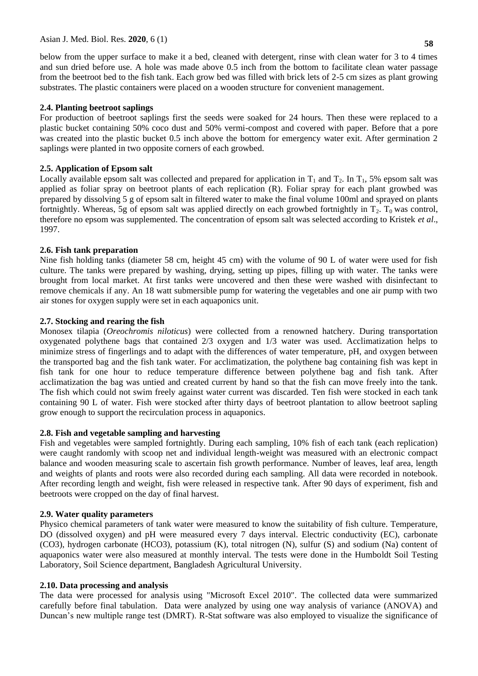below from the upper surface to make it a bed, cleaned with detergent, rinse with clean water for 3 to 4 times and sun dried before use. A hole was made above 0.5 inch from the bottom to facilitate clean water passage from the beetroot bed to the fish tank. Each grow bed was filled with brick lets of 2-5 cm sizes as plant growing substrates. The plastic containers were placed on a wooden structure for convenient management.

### **2.4. Planting beetroot saplings**

For production of beetroot saplings first the seeds were soaked for 24 hours. Then these were replaced to a plastic bucket containing 50% coco dust and 50% vermi-compost and covered with paper. Before that a pore was created into the plastic bucket 0.5 inch above the bottom for emergency water exit. After germination 2 saplings were planted in two opposite corners of each growbed.

### **2.5. Application of Epsom salt**

Locally available epsom salt was collected and prepared for application in  $T_1$  and  $T_2$ . In  $T_1$ , 5% epsom salt was applied as foliar spray on beetroot plants of each replication (R). Foliar spray for each plant growbed was prepared by dissolving 5 g of epsom salt in filtered water to make the final volume 100ml and sprayed on plants fortnightly. Whereas, 5g of epsom salt was applied directly on each growbed fortnightly in  $T_2$ . T<sub>0</sub> was control, therefore no epsom was supplemented. The concentration of epsom salt was selected according to Kristek *et al*., 1997.

### **2.6. Fish tank preparation**

Nine fish holding tanks (diameter 58 cm, height 45 cm) with the volume of 90 L of water were used for fish culture. The tanks were prepared by washing, drying, setting up pipes, filling up with water. The tanks were brought from local market. At first tanks were uncovered and then these were washed with disinfectant to remove chemicals if any. An 18 watt submersible pump for watering the vegetables and one air pump with two air stones for oxygen supply were set in each aquaponics unit.

### **2.7. Stocking and rearing the fish**

Monosex tilapia (*Oreochromis niloticus*) were collected from a renowned hatchery. During transportation oxygenated polythene bags that contained 2/3 oxygen and 1/3 water was used. Acclimatization helps to minimize stress of fingerlings and to adapt with the differences of water temperature, pH, and oxygen between the transported bag and the fish tank water. For acclimatization, the polythene bag containing fish was kept in fish tank for one hour to reduce temperature difference between polythene bag and fish tank. After acclimatization the bag was untied and created current by hand so that the fish can move freely into the tank. The fish which could not swim freely against water current was discarded. Ten fish were stocked in each tank containing 90 L of water. Fish were stocked after thirty days of beetroot plantation to allow beetroot sapling grow enough to support the recirculation process in aquaponics.

### **2.8. Fish and vegetable sampling and harvesting**

Fish and vegetables were sampled fortnightly. During each sampling, 10% fish of each tank (each replication) were caught randomly with scoop net and individual length-weight was measured with an electronic compact balance and wooden measuring scale to ascertain fish growth performance. Number of leaves, leaf area, length and weights of plants and roots were also recorded during each sampling. All data were recorded in notebook. After recording length and weight, fish were released in respective tank. After 90 days of experiment, fish and beetroots were cropped on the day of final harvest.

## **2.9. Water quality parameters**

Physico chemical parameters of tank water were measured to know the suitability of fish culture. Temperature, DO (dissolved oxygen) and pH were measured every 7 days interval. Electric conductivity (EC), carbonate (CO3), hydrogen carbonate (HCO3), potassium (K), total nitrogen (N), sulfur (S) and sodium (Na) content of aquaponics water were also measured at monthly interval. The tests were done in the Humboldt Soil Testing Laboratory, Soil Science department, Bangladesh Agricultural University.

### **2.10. Data processing and analysis**

The data were processed for analysis using "Microsoft Excel 2010". The collected data were summarized carefully before final tabulation. Data were analyzed by using one way analysis of variance (ANOVA) and Duncan's new multiple range test (DMRT). R-Stat software was also employed to visualize the significance of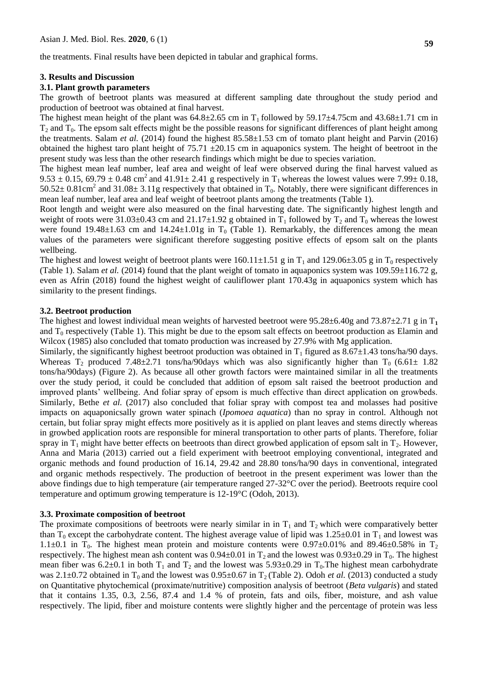the treatments. Final results have been depicted in tabular and graphical forms.

#### **3. Results and Discussion**

#### **3.1. Plant growth parameters**

The growth of beetroot plants was measured at different sampling date throughout the study period and production of beetroot was obtained at final harvest.

The highest mean height of the plant was  $64.8\pm2.65$  cm in T<sub>1</sub> followed by 59.17 $\pm4.75$ cm and  $43.68\pm1.71$  cm in  $T_2$  and  $T_0$ . The epsom salt effects might be the possible reasons for significant differences of plant height among the treatments. Salam *et al.* (2014) found the highest 85.58±1.53 cm of tomato plant height and Parvin (2016) obtained the highest taro plant height of  $75.71 \pm 20.15$  cm in aquaponics system. The height of beetroot in the present study was less than the other research findings which might be due to species variation.

The highest mean leaf number, leaf area and weight of leaf were observed during the final harvest valued as  $9.53 \pm 0.15$ , 69.79  $\pm$  0.48 cm<sup>2</sup> and 41.91 $\pm$  2.41 g respectively in T<sub>1</sub> whereas the lowest values were 7.99 $\pm$  0.18, 50.52 $\pm$  0.81cm<sup>2</sup> and 31.08 $\pm$  3.11g respectively that obtained in T<sub>0</sub>. Notably, there were significant differences in mean leaf number, leaf area and leaf weight of beetroot plants among the treatments (Table 1).

Root length and weight were also measured on the final harvesting date. The significantly highest length and weight of roots were 31.03±0.43 cm and 21.17±1.92 g obtained in  $T_1$  followed by  $T_2$  and  $T_0$  whereas the lowest were found  $19.48\pm1.63$  cm and  $14.24\pm1.01g$  in T<sub>0</sub> (Table 1). Remarkably, the differences among the mean values of the parameters were significant therefore suggesting positive effects of epsom salt on the plants wellbeing.

The highest and lowest weight of beetroot plants were  $160.11 \pm 1.51$  g in T<sub>1</sub> and  $129.06 \pm 3.05$  g in T<sub>0</sub> respectively (Table 1). Salam *et al.* (2014) found that the plant weight of tomato in aquaponics system was 109.59±116.72 g, even as Afrin (2018) found the highest weight of cauliflower plant 170.43g in aquaponics system which has similarity to the present findings.

#### **3.2. Beetroot production**

The highest and lowest individual mean weights of harvested beetroot were 95.28±6.40g and 73.87±2.71 g in T**<sup>1</sup>** and  $T_0$  respectively (Table 1). This might be due to the epsom salt effects on beetroot production as Elamin and Wilcox (1985) also concluded that tomato production was increased by 27.9% with Mg application.

Similarly, the significantly highest beetroot production was obtained in  $T_1$  figured as 8.67±1.43 tons/ha/90 days. Whereas  $T_2$  produced 7.48±2.71 tons/ha/90days which was also significantly higher than  $T_0$  (6.61± 1.82 tons/ha/90days) (Figure 2). As because all other growth factors were maintained similar in all the treatments over the study period, it could be concluded that addition of epsom salt raised the beetroot production and improved plants' wellbeing. And foliar spray of epsom is much effective than direct application on growbeds. Similarly, Bethe *et al.* (2017) also concluded that foliar spray with compost tea and molasses had positive impacts on aquaponicsally grown water spinach (*Ipomoea aquatica*) than no spray in control. Although not certain, but foliar spray might effects more positively as it is applied on plant leaves and stems directly whereas in growbed application roots are responsible for mineral transportation to other parts of plants. Therefore, foliar spray in  $T_1$  might have better effects on beetroots than direct growbed application of epsom salt in  $T_2$ . However, Anna and Maria (2013) carried out a field experiment with beetroot employing conventional, integrated and organic methods and found production of 16.14, 29.42 and 28.80 tons/ha/90 days in conventional, integrated and organic methods respectively. The production of beetroot in the present experiment was lower than the above findings due to high temperature (air temperature ranged 27-32°C over the period). Beetroots require cool temperature and optimum growing temperature is 12-19°C (Odoh, 2013).

#### **3.3. Proximate composition of beetroot**

The proximate compositions of beetroots were nearly similar in in  $T_1$  and  $T_2$  which were comparatively better than  $T_0$  except the carbohydrate content. The highest average value of lipid was  $1.25\pm0.01$  in  $T_1$  and lowest was 1.1 $\pm$ 0.1 in T<sub>0</sub>. The highest mean protein and moisture contents were 0.97 $\pm$ 0.01% and 89.46 $\pm$ 0.58% in T<sub>2</sub> respectively. The highest mean ash content was  $0.94\pm0.01$  in T<sub>2</sub> and the lowest was  $0.93\pm0.29$  in T<sub>0</sub>. The highest mean fiber was  $6.2\pm0.1$  in both T<sub>1</sub> and T<sub>2</sub> and the lowest was  $5.93\pm0.29$  in T<sub>0</sub>. The highest mean carbohydrate was 2.1 $\pm$ 0.72 obtained in T<sub>0</sub> and the lowest was 0.95 $\pm$ 0.67 in T<sub>2</sub> (Table 2). Odoh *et al.* (2013) conducted a study on Quantitative phytochemical (proximate/nutritive) composition analysis of beetroot (*Beta vulgaris*) and stated that it contains 1.35, 0.3, 2.56, 87.4 and 1.4 % of protein, fats and oils, fiber, moisture, and ash value respectively. The lipid, fiber and moisture contents were slightly higher and the percentage of protein was less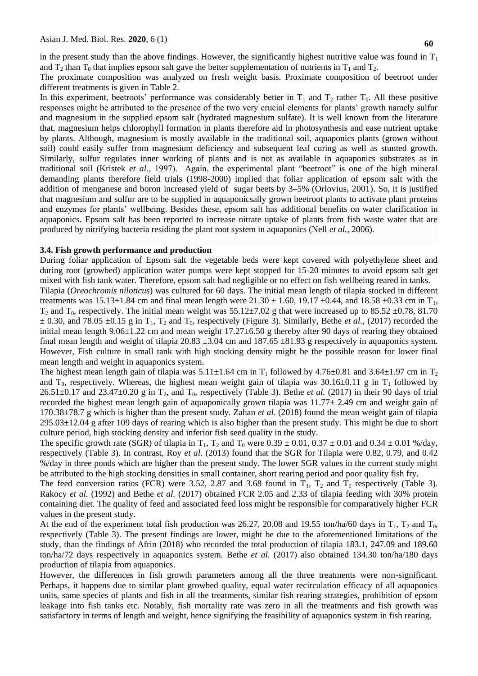in the present study than the above findings. However, the significantly highest nutritive value was found in  $T_1$ and  $T_2$  than  $T_0$  that implies epsom salt gave the better supplementation of nutrients in  $T_1$  and  $T_2$ .

The proximate composition was analyzed on fresh weight basis. Proximate composition of beetroot under different treatments is given in Table 2.

In this experiment, beetroots' performance was considerably better in  $T_1$  and  $T_2$  rather  $T_0$ . All these positive responses might be attributed to the presence of the two very crucial elements for plants' growth namely sulfur and magnesium in the supplied epsom salt (hydrated magnesium sulfate). It is well known from the literature that, magnesium helps chlorophyll formation in plants therefore aid in photosynthesis and ease nutrient uptake by plants. Although, magnesium is mostly available in the traditional soil, aquaponics plants (grown without soil) could easily suffer from magnesium deficiency and subsequent leaf curing as well as stunted growth. Similarly, sulfur regulates inner working of plants and is not as available in aquaponics substrates as in traditional soil (Kristek *et al*., 1997). Again, the experimental plant "beetroot" is one of the high mineral demanding plants therefore field trials (1998-2000) implied that foliar application of epsom salt with the addition of menganese and boron increased yield of sugar beets by 3–5% (Orlovius, 2001). So, it is justified that magnesium and sulfur are to be supplied in aquaponicsally grown beetroot plants to activate plant proteins and enzymes for plants' wellbeing. Besides these, epsom salt has additional benefits on water clarification in aquaponics. Epsom salt has been reported to increase nitrate uptake of plants from fish waste water that are produced by nitrifying bacteria residing the plant root system in aquaponics (Nell *et al.,* 2006).

### **3.4. Fish growth performance and production**

During foliar application of Epsom salt the vegetable beds were kept covered with polyethylene sheet and during root (growbed) application water pumps were kept stopped for 15-20 minutes to avoid epsom salt get mixed with fish tank water. Therefore, epsom salt had negligible or no effect on fish wellbeing reared in tanks.

Tilapia (*Oreochromis niloticus*) was cultured for 60 days. The initial mean length of tilapia stocked in different treatments was  $15.13\pm1.84$  cm and final mean length were  $21.30 \pm 1.60$ ,  $19.17 \pm 0.44$ , and  $18.58 \pm 0.33$  cm in T<sub>1</sub>,  $T_2$  and  $T_0$ , respectively. The initial mean weight was 55.12±7.02 g that were increased up to 85.52 ±0.78, 81.70  $\pm$  0.30, and 78.05  $\pm$ 0.15 g in T<sub>1</sub>, T<sub>2</sub> and T<sub>0</sub>, respectively (Figure 3). Similarly, Bethe *et al.*, (2017) recorded the initial mean length 9.06±1.22 cm and mean weight 17.27±6.50 g thereby after 90 days of rearing they obtained final mean length and weight of tilapia 20.83  $\pm$ 3.04 cm and 187.65  $\pm$ 81.93 g respectively in aquaponics system. However, Fish culture in small tank with high stocking density might be the possible reason for lower final mean length and weight in aquaponics system.

The highest mean length gain of tilapia was  $5.11\pm1.64$  cm in T<sub>1</sub> followed by  $4.76\pm0.81$  and  $3.64\pm1.97$  cm in T<sub>2</sub> and T<sub>0</sub>, respectively. Whereas, the highest mean weight gain of tilapia was 30.16±0.11 g in T<sub>1</sub> followed by  $26.51\pm0.17$  and  $23.47\pm0.20$  g in T<sub>2</sub>, and T<sub>0</sub>, respectively (Table 3). Bethe *et al.* (2017) in their 90 days of trial recorded the highest mean length gain of aquaponically grown tilapia was  $11.77 \pm 2.49$  cm and weight gain of 170.38±78.7 g which is higher than the present study. Zahan *et al*. (2018) found the mean weight gain of tilapia  $295.03\pm12.04$  g after 109 days of rearing which is also higher than the present study. This might be due to short culture period, high stocking density and inferior fish seed quality in the study.

The specific growth rate (SGR) of tilapia in  $T_1$ ,  $T_2$  and  $T_0$  were  $0.39 \pm 0.01$ ,  $0.37 \pm 0.01$  and  $0.34 \pm 0.01$  %/day, respectively (Table 3). In contrast, Roy *et al*. (2013) found that the SGR for Tilapia were 0.82, 0.79, and 0.42 %/day in three ponds which are higher than the present study. The lower SGR values in the current study might be attributed to the high stocking densities in small container, short rearing period and poor quality fish fry.

The feed conversion ratios (FCR) were 3.52, 2.87 and 3.68 found in  $T_1$ ,  $T_2$  and  $T_0$  respectively (Table 3). Rakocy *et al.* (1992) and Bethe *et al.* (2017) obtained FCR 2.05 and 2.33 of tilapia feeding with 30% protein containing diet. The quality of feed and associated feed loss might be responsible for comparatively higher FCR values in the present study.

At the end of the experiment total fish production was 26.27, 20.08 and 19.55 ton/ha/60 days in  $T_1$ ,  $T_2$  and  $T_0$ , respectively (Table 3). The present findings are lower, might be due to the aforementioned limitations of the study, than the findings of Afrin (2018) who recorded the total production of tilapia 183.1, 247.09 and 189.60 ton/ha/72 days respectively in aquaponics system. Bethe *et al.* (2017) also obtained 134.30 ton/ha/180 days production of tilapia from aquaponics.

However, the differences in fish growth parameters among all the three treatments were non-significant. Perhaps, it happens due to similar plant growbed quality, equal water recirculation efficacy of all aquaponics units, same species of plants and fish in all the treatments, similar fish rearing strategies, prohibition of epsom leakage into fish tanks etc. Notably, fish mortality rate was zero in all the treatments and fish growth was satisfactory in terms of length and weight, hence signifying the feasibility of aquaponics system in fish rearing.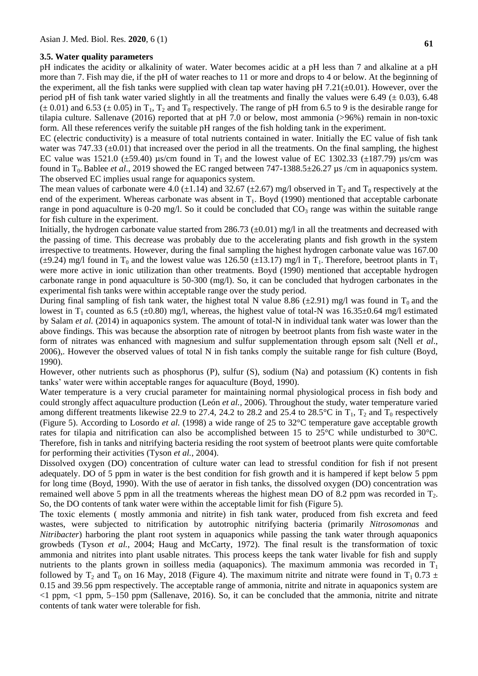#### **3.5. Water quality parameters**

pH indicates the acidity or alkalinity of water. Water becomes acidic at a pH less than 7 and alkaline at a pH more than 7. Fish may die, if the pH of water reaches to 11 or more and drops to 4 or below. At the beginning of the experiment, all the fish tanks were supplied with clean tap water having pH  $7.21(\pm0.01)$ . However, over the period pH of fish tank water varied slightly in all the treatments and finally the values were 6.49 ( $\pm$  0.03), 6.48  $(\pm 0.01)$  and 6.53  $(\pm 0.05)$  in T<sub>1</sub>, T<sub>2</sub> and T<sub>0</sub> respectively. The range of pH from 6.5 to 9 is the desirable range for tilapia culture. Sallenave (2016) reported that at pH 7.0 or below, most ammonia (>96%) remain in non-toxic form. All these references verify the suitable pH ranges of the fish holding tank in the experiment.

EC (electric conductivity) is a measure of total nutrients contained in water. Initially the EC value of fish tank water was  $747.33 \pm 0.01$ ) that increased over the period in all the treatments. On the final sampling, the highest EC value was 1521.0 ( $\pm$ 59.40) µs/cm found in T<sub>1</sub> and the lowest value of EC 1302.33 ( $\pm$ 187.79) µs/cm was found in T0.Bablee *et al*., 2019 showed the EC ranged between 747-1388.5±26.27 µs /cm in aquaponics system. The observed EC implies usual range for aquaponics system.

The mean values of carbonate were 4.0 ( $\pm$ 1.14) and 32.67 ( $\pm$ 2.67) mg/l observed in T<sub>2</sub> and T<sub>0</sub> respectively at the end of the experiment. Whereas carbonate was absent in  $T_1$ . Boyd (1990) mentioned that acceptable carbonate range in pond aquaculture is 0-20 mg/l. So it could be concluded that  $CO<sub>3</sub>$  range was within the suitable range for fish culture in the experiment.

Initially, the hydrogen carbonate value started from 286.73  $(\pm 0.01)$  mg/l in all the treatments and decreased with the passing of time. This decrease was probably due to the accelerating plants and fish growth in the system irrespective to treatments. However, during the final sampling the highest hydrogen carbonate value was 167.00 ( $\pm$ 9.24) mg/l found in T<sub>0</sub> and the lowest value was 126.50 ( $\pm$ 13.17) mg/l in T<sub>1</sub>. Therefore, beetroot plants in T<sub>1</sub> were more active in ionic utilization than other treatments. Boyd (1990) mentioned that acceptable hydrogen carbonate range in pond aquaculture is 50-300 (mg/l). So, it can be concluded that hydrogen carbonates in the experimental fish tanks were within acceptable range over the study period.

During final sampling of fish tank water, the highest total N value 8.86 ( $\pm$ 2.91) mg/l was found in T<sub>0</sub> and the lowest in T<sub>1</sub> counted as 6.5 ( $\pm$ 0.80) mg/l, whereas, the highest value of total-N was 16.35 $\pm$ 0.64 mg/l estimated by Salam *et al.* (2014) in aquaponics system. The amount of total-N in individual tank water was lower than the above findings. This was because the absorption rate of nitrogen by beetroot plants from fish waste water in the form of nitrates was enhanced with magnesium and sulfur supplementation through epsom salt (Nell *et al*., 2006),. However the observed values of total N in fish tanks comply the suitable range for fish culture (Boyd, 1990).

However, other nutrients such as phosphorus (P), sulfur (S), sodium (Na) and potassium (K) contents in fish tanks' water were within acceptable ranges for aquaculture (Boyd, 1990).

Water temperature is a very crucial parameter for maintaining normal physiological process in fish body and could strongly affect aquaculture production (León *et al.,* 2006). Throughout the study, water temperature varied among different treatments likewise 22.9 to 27.4, 24.2 to 28.2 and 25.4 to 28.5°C in  $T_1$ ,  $T_2$  and  $T_0$  respectively (Figure 5). According to Losordo *et al.* (1998) a wide range of 25 to 32°C temperature gave acceptable growth rates for tilapia and nitrification can also be accomplished between 15 to 25°C while undisturbed to 30°C. Therefore, fish in tanks and nitrifying bacteria residing the root system of beetroot plants were quite comfortable for performing their activities (Tyson *et al.*, 2004).

Dissolved oxygen (DO) concentration of culture water can lead to stressful condition for fish if not present adequately. DO of 5 ppm in water is the best condition for fish growth and it is hampered if kept below 5 ppm for long time (Boyd, 1990). With the use of aerator in fish tanks, the dissolved oxygen (DO) concentration was remained well above 5 ppm in all the treatments whereas the highest mean DO of 8.2 ppm was recorded in T<sub>2</sub>. So, the DO contents of tank water were within the acceptable limit for fish (Figure 5).

The toxic elements ( mostly ammonia and nitrite) in fish tank water, produced from fish excreta and feed wastes, were subjected to nitrification by autotrophic nitrifying bacteria (primarily *Nitrosomonas* and *Nitribacter*) harboring the plant root system in aquaponics while passing the tank water through aquaponics growbeds (Tyson *et al.*, 2004; Haug and McCarty, 1972). The final result is the transformation of toxic ammonia and nitrites into plant usable nitrates. This process keeps the tank water livable for fish and supply nutrients to the plants grown in soilless media (aquaponics). The maximum ammonia was recorded in  $T_1$ followed by T<sub>2</sub> and T<sub>0</sub> on 16 May, 2018 (Figure 4). The maximum nitrite and nitrate were found in T<sub>1</sub> 0.73  $\pm$ 0.15 and 39.56 ppm respectively. The acceptable range of ammonia, nitrite and nitrate in aquaponics system are <1 ppm, <1 ppm, 5–150 ppm (Sallenave, 2016). So, it can be concluded that the ammonia, nitrite and nitrate contents of tank water were tolerable for fish.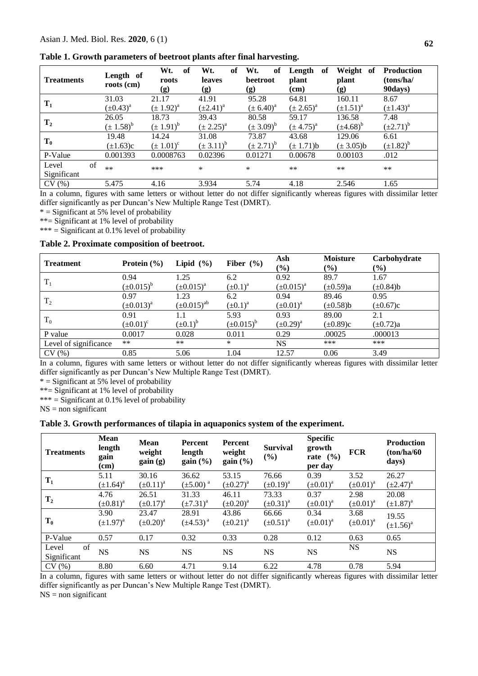| <b>Treatments</b> | Length of<br>roots (cm) | Wt.<br>of<br>roots<br>(g) | Wt.<br><sub>of</sub><br>leaves<br>(g) | Wt.<br>of<br>beetroot<br>(g) | Length<br>of<br>plant<br>(cm) | Weight of<br>plant<br>(g) | <b>Production</b><br>(tons/ha/<br>90days) |
|-------------------|-------------------------|---------------------------|---------------------------------------|------------------------------|-------------------------------|---------------------------|-------------------------------------------|
| $T_1$             | 31.03                   | 21.17                     | 41.91                                 | 95.28                        | 64.81                         | 160.11                    | 8.67                                      |
|                   | $(\pm 0.43)^a$          | $(\pm 1.92)^{a}$          | $(\pm 2.41)^a$                        | $(\pm 6.40)^a$               | $(\pm 2.65)^{a}$              | $(\pm 1.51)^a$            | $(\pm 1.43)^a$                            |
| $T_{2}$           | 26.05                   | 18.73                     | 39.43                                 | 80.58                        | 59.17                         | 136.58                    | 7.48                                      |
|                   | $(\pm 1.58)^{b}$        | $(\pm 1.91)^b$            | $(\pm 2.25)^{a}$                      | $(\pm 3.09)^b$               | $(\pm 4.75)^{a}$              | $(\pm 4.68)^b$            | $(\pm 2.71)^b$                            |
| $T_0$             | 19.48                   | 14.24                     | 31.08                                 | 73.87                        | 43.68                         | 129.06                    | 6.61                                      |
|                   | $(\pm 1.63)c$           | $(\pm 1.01)^c$            | $(\pm 3.11)^{b}$                      | $(\pm 2.71)^b$               | $(\pm 1.71)b$                 | $(\pm 3.05)b$             | $(\pm 1.82)^b$                            |
| P-Value           | 0.001393                | 0.0008763                 | 0.02396                               | 0.01271                      | 0.00678                       | 0.00103                   | .012                                      |
| of<br>Level       | $***$                   | ***                       | *                                     | $\ast$                       | $***$                         | $***$                     | $***$                                     |
| Significant       |                         |                           |                                       |                              |                               |                           |                                           |
| CV(%)             | 5.475                   | 4.16                      | 3.934                                 | 5.74                         | 4.18                          | 2.546                     | 1.65                                      |

**Table 1. Growth parameters of beetroot plants after final harvesting.** 

In a column, figures with same letters or without letter do not differ significantly whereas figures with dissimilar letter differ significantly as per Duncan's New Multiple Range Test (DMRT).

 $*$  = Significant at 5% level of probability

\*\*= Significant at 1% level of probability

\*\*\* = Significant at 0.1% level of probability

#### **Table 2. Proximate composition of beetroot.**

| <b>Treatment</b>      | Protein $(\% )$   | Lipid $(\% )$      | Fiber $(\% )$     | Ash<br>$(\%)$     | <b>Moisture</b><br>$(\%)$ | Carbohydrate<br>$(\%)$ |
|-----------------------|-------------------|--------------------|-------------------|-------------------|---------------------------|------------------------|
|                       | 0.94              | 1.25               | 6.2               | 0.92              | 89.7                      | 1.67                   |
| $T_1$                 | $(\pm 0.015)^{b}$ | $(\pm 0.015)^a$    | $(\pm 0.1)^a$     | $(\pm 0.015)^{a}$ | $(\pm 0.59)a$             | $(\pm 0.84)$ b         |
| T <sub>2</sub>        | 0.97              | 1.23               | 6.2               | 0.94              | 89.46                     | 0.95                   |
|                       | $(\pm 0.013)^a$   | $(\pm 0.015)^{ab}$ | $(\pm 0.1)^a$     | $(\pm 0.01)^a$    | $(\pm 0.58)$ b            | $(\pm 0.67)c$          |
|                       | 0.91              | 1.1                | 5.93              | 0.93              | 89.00                     | 2.1                    |
| $T_0$                 | $(\pm 0.01)^c$    | $(\pm 0.1)^b$      | $(\pm 0.015)^{b}$ | $(\pm 0.29)^a$    | $(\pm 0.89)c$             | $(\pm 0.72)a$          |
| P value               | 0.0017            | 0.028              | 0.011             | 0.29              | .00025                    | .000013                |
| Level of significance | $***$             | $***$              | $\ast$            | <b>NS</b>         | ***                       | ***                    |
| CV(%)                 | 0.85              | 5.06               | 1.04              | 12.57             | 0.06                      | 3.49                   |

In a column, figures with same letters or without letter do not differ significantly whereas figures with dissimilar letter differ significantly as per Duncan's New Multiple Range Test (DMRT).

 $*$  = Significant at 5% level of probability

\*\*= Significant at 1% level of probability

\*\*\* = Significant at 0.1% level of probability

 $NS = non$  significant

#### **Table 3. Growth performances of tilapia in aquaponics system of the experiment.**

| <b>Treatments</b> | <b>Mean</b><br>length<br>gain<br>(cm) | <b>Mean</b><br>weight<br>gain(g) | <b>Percent</b><br>length<br>gain (%) | Percent<br>weight<br>gain (%) | <b>Survival</b><br>(%) | <b>Specific</b><br>growth<br>rate $(\% )$<br>per day | <b>FCR</b>     | <b>Production</b><br>(ton/ha/60)<br>days) |
|-------------------|---------------------------------------|----------------------------------|--------------------------------------|-------------------------------|------------------------|------------------------------------------------------|----------------|-------------------------------------------|
| $T_1$             | 5.11                                  | 30.16                            | 36.62                                | 53.15                         | 76.66                  | 0.39                                                 | 3.52           | 26.27                                     |
|                   | $(\pm 1.64)^a$                        | $(\pm 0.11)^a$                   | $(\pm 5.00)^{a}$                     | $(\pm 0.27)^{a}$              | $(\pm 0.19)^a$         | $(\pm 0.01)^a$                                       | $(\pm 0.01)^a$ | $(\pm 2.47)^a$                            |
|                   | 4.76                                  | 26.51                            | 31.33                                | 46.11                         | 73.33                  | 0.37                                                 | 2.98           | 20.08                                     |
| $T_{2}$           | $(\pm 0.81)^a$                        | $(\pm 0.17)^a$                   | $(\pm 7.31)^a$                       | $(\pm 0.20)^a$                | $(\pm 0.31)^a$         | $(\pm 0.01)^a$                                       | $(\pm 0.01)^a$ | $(\pm 1.87)^{a}$                          |
|                   | 3.90                                  | 23.47                            | 28.91                                | 43.86                         | 66.66                  | 0.34                                                 | 3.68           | 19.55                                     |
| $T_0$             | $(\pm 1.97)^a$                        | $(\pm 0.20)^a$                   | $(\pm 4.53)^{a}$                     | $(\pm 0.21)^a$                | $(\pm 0.51)^a$         | $(\pm 0.01)^a$                                       | $(\pm 0.01)^a$ | $(\pm 1.56)^a$                            |
| P-Value           | 0.57                                  | 0.17                             | 0.32                                 | 0.33                          | 0.28                   | 0.12                                                 | 0.63           | 0.65                                      |
| of<br>Level       | <b>NS</b>                             | <b>NS</b>                        | <b>NS</b>                            | <b>NS</b>                     | <b>NS</b>              | <b>NS</b>                                            | <b>NS</b>      | <b>NS</b>                                 |
| Significant       |                                       |                                  |                                      |                               |                        |                                                      |                |                                           |
| CV(%)             | 8.80                                  | 6.60                             | 4.71                                 | 9.14                          | 6.22                   | 4.78                                                 | 0.78           | 5.94                                      |

In a column, figures with same letters or without letter do not differ significantly whereas figures with dissimilar letter differ significantly as per Duncan's New Multiple Range Test (DMRT).

 $NS = non significant$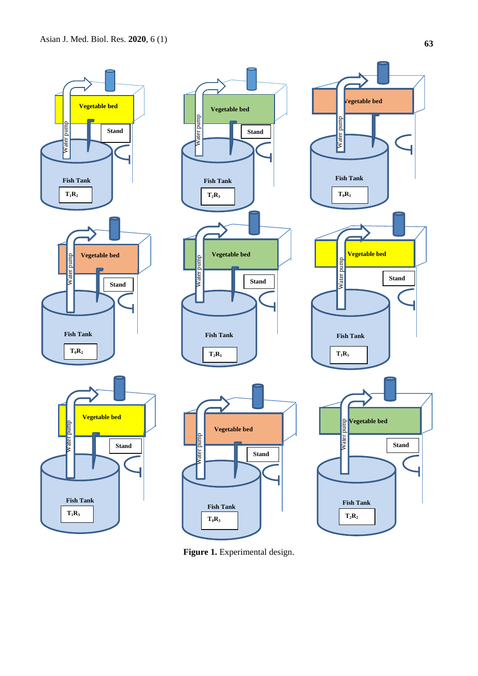

**Figure 1.** Experimental design.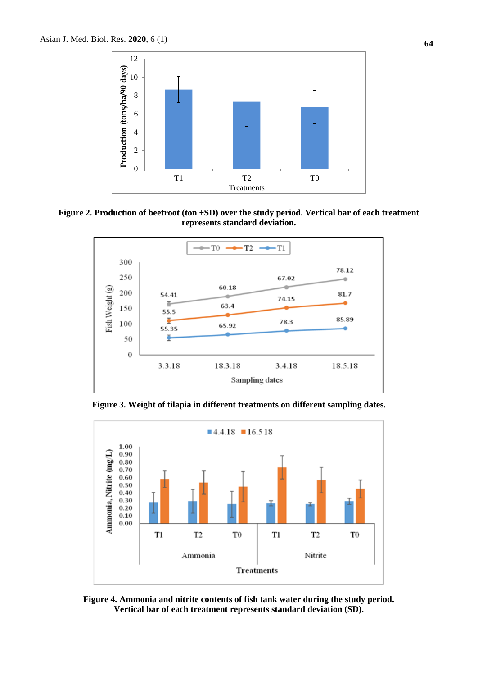

**Figure 2. Production of beetroot (ton ±SD) over the study period. Vertical bar of each treatment represents standard deviation.**



**Figure 3. Weight of tilapia in different treatments on different sampling dates.**



**Figure 4. Ammonia and nitrite contents of fish tank water during the study period. Vertical bar of each treatment represents standard deviation (SD).**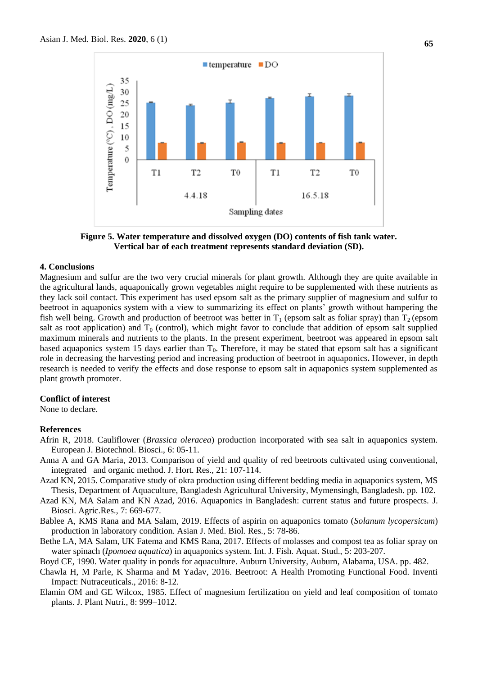

**Figure 5. Water temperature and dissolved oxygen (DO) contents of fish tank water. Vertical bar of each treatment represents standard deviation (SD).**

#### **4. Conclusions**

Magnesium and sulfur are the two very crucial minerals for plant growth. Although they are quite available in the agricultural lands, aquaponically grown vegetables might require to be supplemented with these nutrients as they lack soil contact. This experiment has used epsom salt as the primary supplier of magnesium and sulfur to beetroot in aquaponics system with a view to summarizing its effect on plants' growth without hampering the fish well being. Growth and production of beetroot was better in  $T_1$  (epsom salt as foliar spray) than  $T_2$  (epsom salt as root application) and  $T_0$  (control), which might favor to conclude that addition of epsom salt supplied maximum minerals and nutrients to the plants. In the present experiment, beetroot was appeared in epsom salt based aquaponics system 15 days earlier than  $T_0$ . Therefore, it may be stated that epsom salt has a significant role in decreasing the harvesting period and increasing production of beetroot in aquaponics**.** However, in depth research is needed to verify the effects and dose response to epsom salt in aquaponics system supplemented as plant growth promoter.

#### **Conflict of interest**

None to declare.

#### **References**

- Afrin R, 2018. Cauliflower (*Brassica oleracea*) production incorporated with sea salt in aquaponics system. European J. Biotechnol. Biosci., 6: 05-11.
- Anna A and GA Maria, 2013. Comparison of yield and quality of red beetroots cultivated using conventional, integrated and organic method. J. Hort. Res., 21: 107-114.
- Azad KN, 2015. Comparative study of okra production using different bedding media in aquaponics system, MS Thesis, Department of Aquaculture, Bangladesh Agricultural University, Mymensingh, Bangladesh. pp. 102.
- Azad KN, MA Salam and KN Azad, 2016. Aquaponics in Bangladesh: current status and future prospects. J. Biosci. Agric.Res., 7: 669-677.
- Bablee A, KMS Rana and MA Salam, 2019. Effects of aspirin on aquaponics tomato (*Solanum lycopersicum*) production in laboratory condition. Asian J. Med. Biol. Res., 5: 78-86.
- Bethe LA, MA Salam, UK Fatema and KMS Rana, 2017. Effects of molasses and compost tea as foliar spray on water spinach (*Ipomoea aquatica*) in aquaponics system. Int. J. Fish. Aquat. Stud., 5: 203-207.
- Boyd CE, 1990. Water quality in ponds for aquaculture. Auburn University, Auburn, Alabama, USA. pp. 482.
- Chawla H, M Parle, K Sharma and M Yadav, 2016. Beetroot: A Health Promoting Functional Food. Inventi Impact: Nutraceuticals., 2016: 8-12.
- Elamin OM and GE Wilcox, 1985. Effect of magnesium fertilization on yield and leaf composition of tomato plants. J. Plant Nutri., 8: 999–1012.